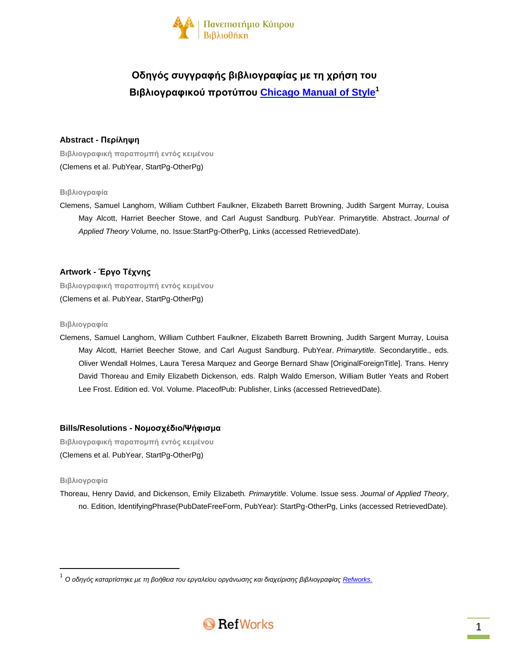

# **Οδηγός συγγραφής βιβλιογραφίας με τη χρήση του Βιβλιογραφικού προτύπου [Chicago](http://www.chicagomanualofstyle.org/tools_citationguide.html) Manual of Style 1**

# **Abstract - Περίληψη**

**Βιβλιογραφική παραπομπή εντός κειμένου** (Clemens et al. PubYear, StartPg-OtherPg)

#### **Βιβλιογραφία**

Clemens, Samuel Langhorn, William Cuthbert Faulkner, Elizabeth Barrett Browning, Judith Sargent Murray, Louisa May Alcott, Harriet Beecher Stowe, and Carl August Sandburg. PubYear. Primarytitle. Abstract. *Journal of Applied Theory* Volume, no. Issue:StartPg-OtherPg, Links (accessed RetrievedDate).

# **Artwork - Έργο Τέχνης**

**Βιβλιογραφική παραπομπή εντός κειμένου** (Clemens et al. PubYear, StartPg-OtherPg)

#### **Βιβλιογραφία**

Clemens, Samuel Langhorn, William Cuthbert Faulkner, Elizabeth Barrett Browning, Judith Sargent Murray, Louisa May Alcott, Harriet Beecher Stowe, and Carl August Sandburg. PubYear. *Primarytitle*. Secondarytitle., eds. Oliver Wendall Holmes, Laura Teresa Marquez and George Bernard Shaw [OriginalForeignTitle]. Trans. Henry David Thoreau and Emily Elizabeth Dickenson, eds. Ralph Waldo Emerson, William Butler Yeats and Robert Lee Frost. Edition ed. Vol. Volume. PlaceofPub: Publisher, Links (accessed RetrievedDate).

# **Bills/Resolutions - Νομοσχέδιο/Ψήφισμα**

**Βιβλιογραφική παραπομπή εντός κειμένου** (Clemens et al. PubYear, StartPg-OtherPg)

#### **Βιβλιογραφία**

 $\overline{\phantom{a}}$ 

Thoreau, Henry David, and Dickenson, Emily Elizabeth*. Primarytitle*. Volume. Issue sess. *Journal of Applied Theory*, no. Edition, IdentifyingPhrase(PubDateFreeForm, PubYear): StartPg-OtherPg, Links (accessed RetrievedDate).

<sup>.&</sup>lt;br><sup>1</sup> Ο οδηγός καταρτίστηκε με τη βοήθεια του εργαλείου οργάνωσης και διαχείρισης βιβλιογραφίας <u>Refworks.</u>

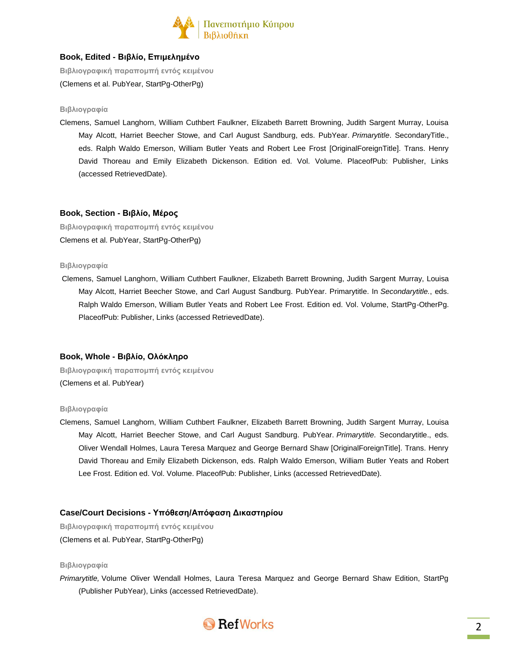

# **Book, Edited - Βιβλίο, Επιμελημένο**

**Βιβλιογραφική παραπομπή εντός κειμένου** (Clemens et al. PubYear, StartPg-OtherPg)

#### **Βιβλιογραφία**

Clemens, Samuel Langhorn, William Cuthbert Faulkner, Elizabeth Barrett Browning, Judith Sargent Murray, Louisa May Alcott, Harriet Beecher Stowe, and Carl August Sandburg, eds. PubYear. *Primarytitle*. SecondaryTitle., eds. Ralph Waldo Emerson, William Butler Yeats and Robert Lee Frost [OriginalForeignTitle]. Trans. Henry David Thoreau and Emily Elizabeth Dickenson. Edition ed. Vol. Volume. PlaceofPub: Publisher, Links (accessed RetrievedDate).

#### **Book, Section - Βιβλίο, Μέρος**

**Βιβλιογραφική παραπομπή εντός κειμένου** Clemens et al. PubYear, StartPg-OtherPg)

#### **Βιβλιογραφία**

Clemens, Samuel Langhorn, William Cuthbert Faulkner, Elizabeth Barrett Browning, Judith Sargent Murray, Louisa May Alcott, Harriet Beecher Stowe, and Carl August Sandburg. PubYear. Primarytitle. In *Secondarytitle.*, eds. Ralph Waldo Emerson, William Butler Yeats and Robert Lee Frost. Edition ed. Vol. Volume, StartPg-OtherPg. PlaceofPub: Publisher, Links (accessed RetrievedDate).

# **Book, Whole - Βιβλίο, Ολόκληρο**

**Βιβλιογραφική παραπομπή εντός κειμένου** (Clemens et al. PubYear)

#### **Βιβλιογραφία**

Clemens, Samuel Langhorn, William Cuthbert Faulkner, Elizabeth Barrett Browning, Judith Sargent Murray, Louisa May Alcott, Harriet Beecher Stowe, and Carl August Sandburg. PubYear. *Primarytitle*. Secondarytitle., eds. Oliver Wendall Holmes, Laura Teresa Marquez and George Bernard Shaw [OriginalForeignTitle]. Trans. Henry David Thoreau and Emily Elizabeth Dickenson, eds. Ralph Waldo Emerson, William Butler Yeats and Robert Lee Frost. Edition ed. Vol. Volume. PlaceofPub: Publisher, Links (accessed RetrievedDate).

# **Case/Court Decisions - Υπόθεση/Απόφαση Δικαστηρίου**

**Βιβλιογραφική παραπομπή εντός κειμένου** (Clemens et al. PubYear, StartPg-OtherPg)

#### **Βιβλιογραφία**

*Primarytitle,* Volume Oliver Wendall Holmes, Laura Teresa Marquez and George Bernard Shaw Edition, StartPg (Publisher PubYear), Links (accessed RetrievedDate).

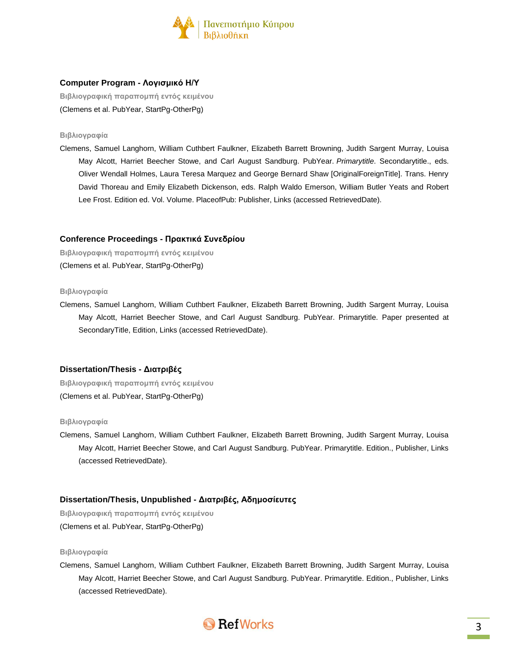

# **Computer Program - Λογισμικό Η/Υ**

**Βιβλιογραφική παραπομπή εντός κειμένου** (Clemens et al. PubYear, StartPg-OtherPg)

#### **Βιβλιογραφία**

Clemens, Samuel Langhorn, William Cuthbert Faulkner, Elizabeth Barrett Browning, Judith Sargent Murray, Louisa May Alcott, Harriet Beecher Stowe, and Carl August Sandburg. PubYear. *Primarytitle*. Secondarytitle., eds. Oliver Wendall Holmes, Laura Teresa Marquez and George Bernard Shaw [OriginalForeignTitle]. Trans. Henry David Thoreau and Emily Elizabeth Dickenson, eds. Ralph Waldo Emerson, William Butler Yeats and Robert Lee Frost. Edition ed. Vol. Volume. PlaceofPub: Publisher, Links (accessed RetrievedDate).

#### **Conference Proceedings - Πρακτικά Συνεδρίου**

**Βιβλιογραφική παραπομπή εντός κειμένου** (Clemens et al. PubYear, StartPg-OtherPg)

#### **Βιβλιογραφία**

Clemens, Samuel Langhorn, William Cuthbert Faulkner, Elizabeth Barrett Browning, Judith Sargent Murray, Louisa May Alcott, Harriet Beecher Stowe, and Carl August Sandburg. PubYear. Primarytitle. Paper presented at SecondaryTitle, Edition, Links (accessed RetrievedDate).

# **Dissertation/Thesis - Διατριβές**

**Βιβλιογραφική παραπομπή εντός κειμένου** (Clemens et al. PubYear, StartPg-OtherPg)

#### **Βιβλιογραφία**

Clemens, Samuel Langhorn, William Cuthbert Faulkner, Elizabeth Barrett Browning, Judith Sargent Murray, Louisa May Alcott, Harriet Beecher Stowe, and Carl August Sandburg. PubYear. Primarytitle. Edition., Publisher, Links (accessed RetrievedDate).

# **Dissertation/Thesis, Unpublished - Διατριβές, Αδημοσίευτες**

**Βιβλιογραφική παραπομπή εντός κειμένου** (Clemens et al. PubYear, StartPg-OtherPg)

#### **Βιβλιογραφία**

Clemens, Samuel Langhorn, William Cuthbert Faulkner, Elizabeth Barrett Browning, Judith Sargent Murray, Louisa May Alcott, Harriet Beecher Stowe, and Carl August Sandburg. PubYear. Primarytitle. Edition., Publisher, Links (accessed RetrievedDate).

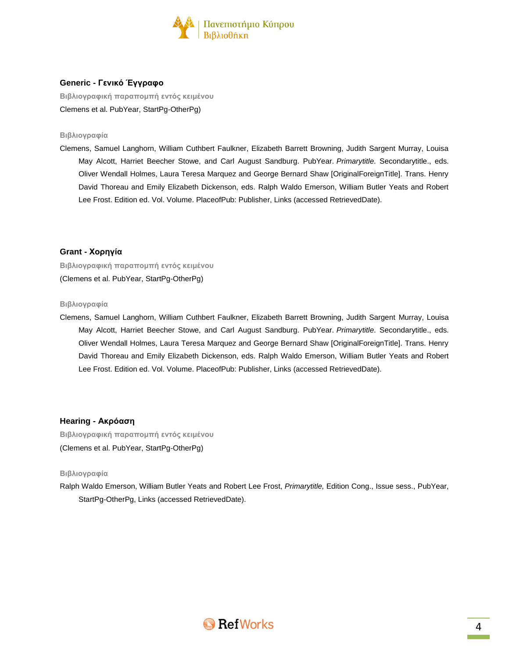

# **Generic - Γενικό Έγγραφο**

**Βιβλιογραφική παραπομπή εντός κειμένου** Clemens et al. PubYear, StartPg-OtherPg)

#### **Βιβλιογραφία**

Clemens, Samuel Langhorn, William Cuthbert Faulkner, Elizabeth Barrett Browning, Judith Sargent Murray, Louisa May Alcott, Harriet Beecher Stowe, and Carl August Sandburg. PubYear. *Primarytitle*. Secondarytitle., eds. Oliver Wendall Holmes, Laura Teresa Marquez and George Bernard Shaw [OriginalForeignTitle]. Trans. Henry David Thoreau and Emily Elizabeth Dickenson, eds. Ralph Waldo Emerson, William Butler Yeats and Robert Lee Frost. Edition ed. Vol. Volume. PlaceofPub: Publisher, Links (accessed RetrievedDate).

#### **Grant - Χορηγία**

**Βιβλιογραφική παραπομπή εντός κειμένου** (Clemens et al. PubYear, StartPg-OtherPg)

#### **Βιβλιογραφία**

Clemens, Samuel Langhorn, William Cuthbert Faulkner, Elizabeth Barrett Browning, Judith Sargent Murray, Louisa May Alcott, Harriet Beecher Stowe, and Carl August Sandburg. PubYear. *Primarytitle*. Secondarytitle., eds. Oliver Wendall Holmes, Laura Teresa Marquez and George Bernard Shaw [OriginalForeignTitle]. Trans. Henry David Thoreau and Emily Elizabeth Dickenson, eds. Ralph Waldo Emerson, William Butler Yeats and Robert Lee Frost. Edition ed. Vol. Volume. PlaceofPub: Publisher, Links (accessed RetrievedDate).

#### **Hearing - Ακρόαση**

**Βιβλιογραφική παραπομπή εντός κειμένου** (Clemens et al. PubYear, StartPg-OtherPg)

#### **Βιβλιογραφία**

Ralph Waldo Emerson, William Butler Yeats and Robert Lee Frost, *Primarytitle,* Edition Cong., Issue sess., PubYear, StartPg-OtherPg, Links (accessed RetrievedDate).

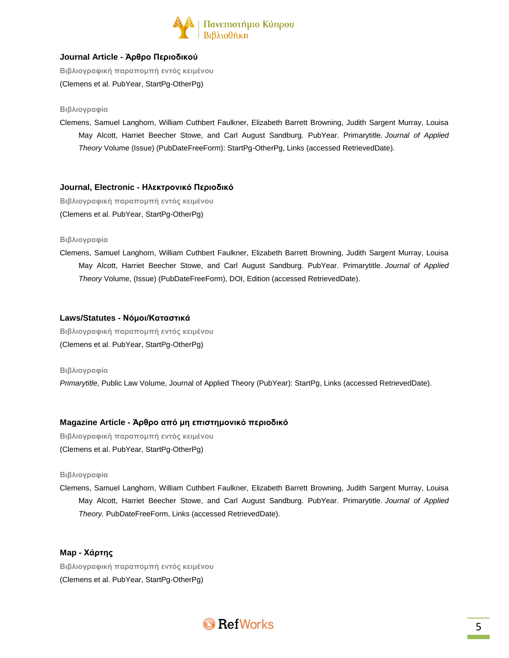

# **Journal Article - Άρθρο Περιοδικού**

**Βιβλιογραφική παραπομπή εντός κειμένου** (Clemens et al. PubYear, StartPg-OtherPg)

#### **Βιβλιογραφία**

Clemens, Samuel Langhorn, William Cuthbert Faulkner, Elizabeth Barrett Browning, Judith Sargent Murray, Louisa May Alcott, Harriet Beecher Stowe, and Carl August Sandburg. PubYear. Primarytitle. *Journal of Applied Theory* Volume (Issue) (PubDateFreeForm): StartPg-OtherPg, Links (accessed RetrievedDate).

# **Journal, Electronic - Ηλεκτρονικό Περιοδικό**

**Βιβλιογραφική παραπομπή εντός κειμένου** (Clemens et al. PubYear, StartPg-OtherPg)

#### **Βιβλιογραφία**

Clemens, Samuel Langhorn, William Cuthbert Faulkner, Elizabeth Barrett Browning, Judith Sargent Murray, Louisa May Alcott, Harriet Beecher Stowe, and Carl August Sandburg. PubYear. Primarytitle. *Journal of Applied Theory* Volume, (Issue) (PubDateFreeForm), DOI, Edition (accessed RetrievedDate).

#### **Laws/Statutes - Νόμοι/Καταστικά**

**Βιβλιογραφική παραπομπή εντός κειμένου** (Clemens et al. PubYear, StartPg-OtherPg)

#### **Βιβλιογραφία**

*Primarytitle,* Public Law Volume, Journal of Applied Theory (PubYear): StartPg, Links (accessed RetrievedDate).

# **Magazine Article - Άρθρο από μη επιστημονικό περιοδικό**

**Βιβλιογραφική παραπομπή εντός κειμένου** (Clemens et al. PubYear, StartPg-OtherPg)

#### **Βιβλιογραφία**

Clemens, Samuel Langhorn, William Cuthbert Faulkner, Elizabeth Barrett Browning, Judith Sargent Murray, Louisa May Alcott, Harriet Beecher Stowe, and Carl August Sandburg. PubYear. Primarytitle. *Journal of Applied Theory.* PubDateFreeForm, Links (accessed RetrievedDate).

# **Map - Χάρτης Βιβλιογραφική παραπομπή εντός κειμένου** (Clemens et al. PubYear, StartPg-OtherPg)

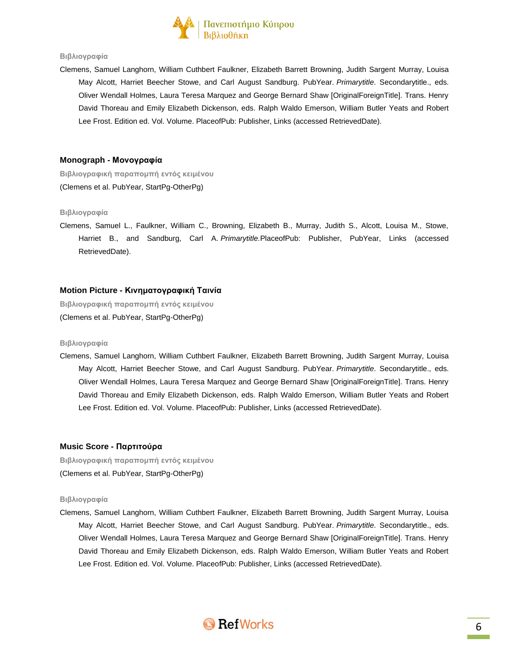

#### **Βιβλιογραφία**

Clemens, Samuel Langhorn, William Cuthbert Faulkner, Elizabeth Barrett Browning, Judith Sargent Murray, Louisa May Alcott, Harriet Beecher Stowe, and Carl August Sandburg. PubYear. *Primarytitle*. Secondarytitle., eds. Oliver Wendall Holmes, Laura Teresa Marquez and George Bernard Shaw [OriginalForeignTitle]. Trans. Henry David Thoreau and Emily Elizabeth Dickenson, eds. Ralph Waldo Emerson, William Butler Yeats and Robert Lee Frost. Edition ed. Vol. Volume. PlaceofPub: Publisher, Links (accessed RetrievedDate).

#### **Monograph - Μονογραφία**

**Βιβλιογραφική παραπομπή εντός κειμένου** (Clemens et al. PubYear, StartPg-OtherPg)

#### **Βιβλιογραφία**

Clemens, Samuel L., Faulkner, William C., Browning, Elizabeth B., Murray, Judith S., Alcott, Louisa M., Stowe, Harriet B., and Sandburg, Carl A. *Primarytitle.*PlaceofPub: Publisher, PubYear, Links (accessed RetrievedDate).

#### **Motion Picture - Κινηματογραφική Ταινία**

**Βιβλιογραφική παραπομπή εντός κειμένου** (Clemens et al. PubYear, StartPg-OtherPg)

#### **Βιβλιογραφία**

Clemens, Samuel Langhorn, William Cuthbert Faulkner, Elizabeth Barrett Browning, Judith Sargent Murray, Louisa May Alcott, Harriet Beecher Stowe, and Carl August Sandburg. PubYear. *Primarytitle*. Secondarytitle., eds. Oliver Wendall Holmes, Laura Teresa Marquez and George Bernard Shaw [OriginalForeignTitle]. Trans. Henry David Thoreau and Emily Elizabeth Dickenson, eds. Ralph Waldo Emerson, William Butler Yeats and Robert Lee Frost. Edition ed. Vol. Volume. PlaceofPub: Publisher, Links (accessed RetrievedDate).

#### **Music Score - Παρτιτούρα**

**Βιβλιογραφική παραπομπή εντός κειμένου** (Clemens et al. PubYear, StartPg-OtherPg)

#### **Βιβλιογραφία**

Clemens, Samuel Langhorn, William Cuthbert Faulkner, Elizabeth Barrett Browning, Judith Sargent Murray, Louisa May Alcott, Harriet Beecher Stowe, and Carl August Sandburg. PubYear. *Primarytitle*. Secondarytitle., eds. Oliver Wendall Holmes, Laura Teresa Marquez and George Bernard Shaw [OriginalForeignTitle]. Trans. Henry David Thoreau and Emily Elizabeth Dickenson, eds. Ralph Waldo Emerson, William Butler Yeats and Robert Lee Frost. Edition ed. Vol. Volume. PlaceofPub: Publisher, Links (accessed RetrievedDate).

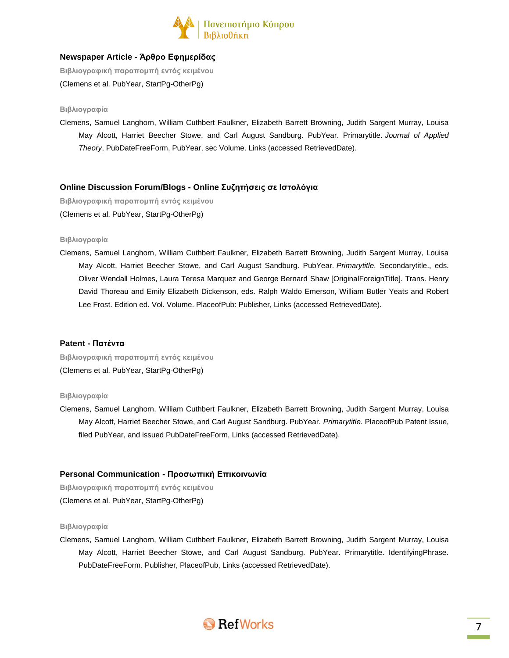

# **Newspaper Article - Άρθρο Εφημερίδας**

**Βιβλιογραφική παραπομπή εντός κειμένου** (Clemens et al. PubYear, StartPg-OtherPg)

#### **Βιβλιογραφία**

Clemens, Samuel Langhorn, William Cuthbert Faulkner, Elizabeth Barrett Browning, Judith Sargent Murray, Louisa May Alcott, Harriet Beecher Stowe, and Carl August Sandburg. PubYear. Primarytitle. *Journal of Applied Theory*, PubDateFreeForm, PubYear, sec Volume. Links (accessed RetrievedDate).

# **Online Discussion Forum/Blogs - Online Συζητήσεις σε Ιστολόγια**

**Βιβλιογραφική παραπομπή εντός κειμένου** (Clemens et al. PubYear, StartPg-OtherPg)

#### **Βιβλιογραφία**

Clemens, Samuel Langhorn, William Cuthbert Faulkner, Elizabeth Barrett Browning, Judith Sargent Murray, Louisa May Alcott, Harriet Beecher Stowe, and Carl August Sandburg. PubYear. *Primarytitle*. Secondarytitle., eds. Oliver Wendall Holmes, Laura Teresa Marquez and George Bernard Shaw [OriginalForeignTitle]. Trans. Henry David Thoreau and Emily Elizabeth Dickenson, eds. Ralph Waldo Emerson, William Butler Yeats and Robert Lee Frost. Edition ed. Vol. Volume. PlaceofPub: Publisher, Links (accessed RetrievedDate).

#### **Patent - Πατέντα**

**Βιβλιογραφική παραπομπή εντός κειμένου** (Clemens et al. PubYear, StartPg-OtherPg)

#### **Βιβλιογραφία**

Clemens, Samuel Langhorn, William Cuthbert Faulkner, Elizabeth Barrett Browning, Judith Sargent Murray, Louisa May Alcott, Harriet Beecher Stowe, and Carl August Sandburg. PubYear. *Primarytitle.* PlaceofPub Patent Issue, filed PubYear, and issued PubDateFreeForm, Links (accessed RetrievedDate).

# **Personal Communication - Προσωπική Επικοινωνία**

**Βιβλιογραφική παραπομπή εντός κειμένου** (Clemens et al. PubYear, StartPg-OtherPg)

#### **Βιβλιογραφία**

Clemens, Samuel Langhorn, William Cuthbert Faulkner, Elizabeth Barrett Browning, Judith Sargent Murray, Louisa May Alcott, Harriet Beecher Stowe, and Carl August Sandburg. PubYear. Primarytitle. IdentifyingPhrase. PubDateFreeForm. Publisher, PlaceofPub, Links (accessed RetrievedDate).

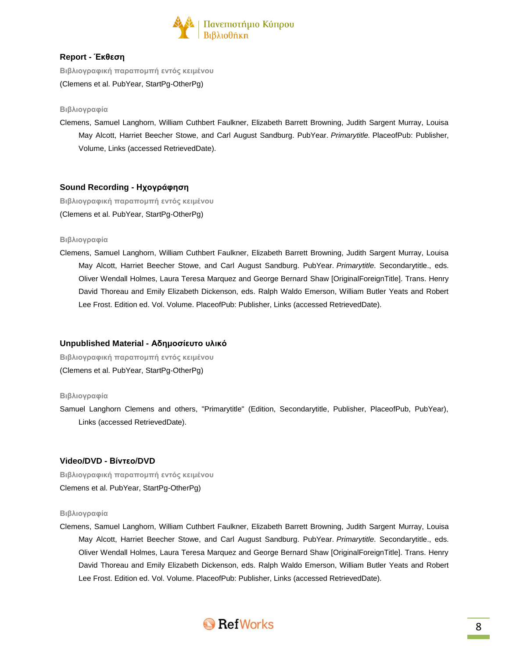

# **Report - Έκθεση**

**Βιβλιογραφική παραπομπή εντός κειμένου** (Clemens et al. PubYear, StartPg-OtherPg)

#### **Βιβλιογραφία**

Clemens, Samuel Langhorn, William Cuthbert Faulkner, Elizabeth Barrett Browning, Judith Sargent Murray, Louisa May Alcott, Harriet Beecher Stowe, and Carl August Sandburg. PubYear. *Primarytitle.* PlaceofPub: Publisher, Volume, Links (accessed RetrievedDate).

# **Sound Recording - Ηχογράφηση**

**Βιβλιογραφική παραπομπή εντός κειμένου** (Clemens et al. PubYear, StartPg-OtherPg)

#### **Βιβλιογραφία**

Clemens, Samuel Langhorn, William Cuthbert Faulkner, Elizabeth Barrett Browning, Judith Sargent Murray, Louisa May Alcott, Harriet Beecher Stowe, and Carl August Sandburg. PubYear. *Primarytitle*. Secondarytitle., eds. Oliver Wendall Holmes, Laura Teresa Marquez and George Bernard Shaw [OriginalForeignTitle]. Trans. Henry David Thoreau and Emily Elizabeth Dickenson, eds. Ralph Waldo Emerson, William Butler Yeats and Robert Lee Frost. Edition ed. Vol. Volume. PlaceofPub: Publisher, Links (accessed RetrievedDate).

#### **Unpublished Material - Αδημοσίευτο υλικό**

**Βιβλιογραφική παραπομπή εντός κειμένου** (Clemens et al. PubYear, StartPg-OtherPg)

#### **Βιβλιογραφία**

Samuel Langhorn Clemens and others, "Primarytitle" (Edition, Secondarytitle, Publisher, PlaceofPub, PubYear), Links (accessed RetrievedDate).

# **Video/DVD - Βίντεο/DVD**

**Βιβλιογραφική παραπομπή εντός κειμένου** Clemens et al. PubYear, StartPg-OtherPg)

#### **Βιβλιογραφία**

Clemens, Samuel Langhorn, William Cuthbert Faulkner, Elizabeth Barrett Browning, Judith Sargent Murray, Louisa May Alcott, Harriet Beecher Stowe, and Carl August Sandburg. PubYear. *Primarytitle*. Secondarytitle., eds. Oliver Wendall Holmes, Laura Teresa Marquez and George Bernard Shaw [OriginalForeignTitle]. Trans. Henry David Thoreau and Emily Elizabeth Dickenson, eds. Ralph Waldo Emerson, William Butler Yeats and Robert Lee Frost. Edition ed. Vol. Volume. PlaceofPub: Publisher, Links (accessed RetrievedDate).